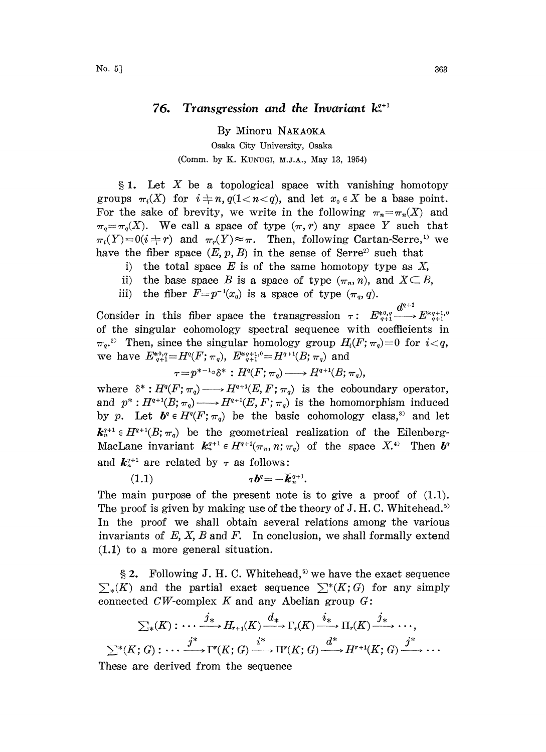## 76. Transgression and the Invariant  $k_n^{q+1}$

By Minoru NAKAOKA Osaka City University, Osaka (Comm. by K. KUNUGI, M.J.A., May 13, 1954)

 $§ 1.$  Let X be a topological space with vanishing homotopy groups  $\pi_i(X)$  for  $i \neq n$ ,  $q(1 \lt n \lt q)$ , and let  $x_0 \in X$  be a base point.<br>For the sake of brevity, we write in the following  $\pi = \pi(X)$  and For the sake of brevity, we write in the following  $\pi_n=\pi_n(X)$  and  $\pi_q = \pi_q(X)$ . We call a space of type  $(\pi, r)$  any space Y such that  $\pi_i(Y)=0$   $(i \neq r)$  and  $\pi_r(Y) \approx \pi$ . Then, following Cartan-Serre,<sup>1)</sup> we have the fiber space (*E n B*) in the sense of Serre<sup>2)</sup> such that have the fiber space  $(E, p, B)$  in the sense of Serre<sup>2</sup> such that

- i) the total space  $E$  is of the same homotopy type as  $X$ ,
- ii) the base space B is a space of type  $(\pi_n, n)$ , and  $X \subseteq B$ ,
- iii) the fiber  $F=p^{-1}(x_0)$  is a space of type  $(\pi_q, q)$ .

Consider in this fiber space the transgression  $\tau: E^{*0,q}_{q+1} \longrightarrow E^{*q+1,q}_{q+1}$ of the singular cohomology spectral sequence with coefficients in  $\pi_{q}^{2}$ . Then, since the singular homology group  $H_i(F; \pi_q)=0$  for  $i < q$ , we have  $E_{q+1}^{*0,q} = H^q(F; \pi_q)$ ,  $E_{q+1}^{*q+1,0} = H^{q+1}(B; \pi_q)$  and

$$
\tau = p^{*-1} \circ \delta^* : H^q(F; \pi_q) \longrightarrow H^{q+1}(B; \pi_q),
$$

where  $\delta^*: H^q(F; \pi_q) \longrightarrow H^{q+1}(E, F; \pi_q)$  is the coboundary operator, and  $p^*: H^{q+1}(B; \pi_q) \longrightarrow H^{q+1}(E, F; \pi_q)$  is the homomorphism induced by p. Let  $b^q \in H^q(F; \pi_q)$  be the basic cohomology class,<sup>3)</sup> and let  $k_n^{q+1} \in H^{q+1}(B; \pi_q)$  be the geometrical realization of the Eilenberg-MacLane invariant  $k_{n}^{q+1} \in H^{q+1}(\pi_n, n; \pi_q)$  of the space  $X_{n}^{q+1}$  Then  $\mathbf{b}^q$ and  $k_{n}^{\gamma+1}$  are related by  $\tau$  as follows:

 $(1.1)$  $\tau b^{q} = -\bar{k}_{n+1}^{q+1}.$ 

The main purpose of the present note is to give a proof of  $(1.1)$ . The proof is given by making use of the theory of J.H.C. Whitehead.<sup>5)</sup> In the proof we shall obtain several relations among the various invariants of  $E$ ,  $X$ ,  $B$  and  $F$ . In conclusion, we shall formally extend (1.1) to a more general situation.

§ 2. Following J. H. C. Whitehead,<sup>5)</sup> we have the exact sequence  $\sum_{*}(K)$  and the partial exact sequence  $\sum^{*}(K;G)$  for any simply connected  $CW$ -complex  $K$  and any Abelian group  $G$ :

$$
\sum_{*}(K) : \cdots \xrightarrow{j_{*}} H_{r+1}(K) \xrightarrow{d_{*}} \Gamma_{r}(K) \xrightarrow{i_{*}} \Pi_{r}(K) \xrightarrow{j_{*}} \cdots,
$$
  

$$
\sum^{*}(K; G) : \cdots \xrightarrow{j^{*}} \Gamma^{r}(K; G) \xrightarrow{i^{*}} \Pi^{r}(K; G) \xrightarrow{d^{*}} H^{r+1}(K; G) \xrightarrow{j^{*}} \cdots
$$
  
We can use defined from the sequence.

These are derived from the sequence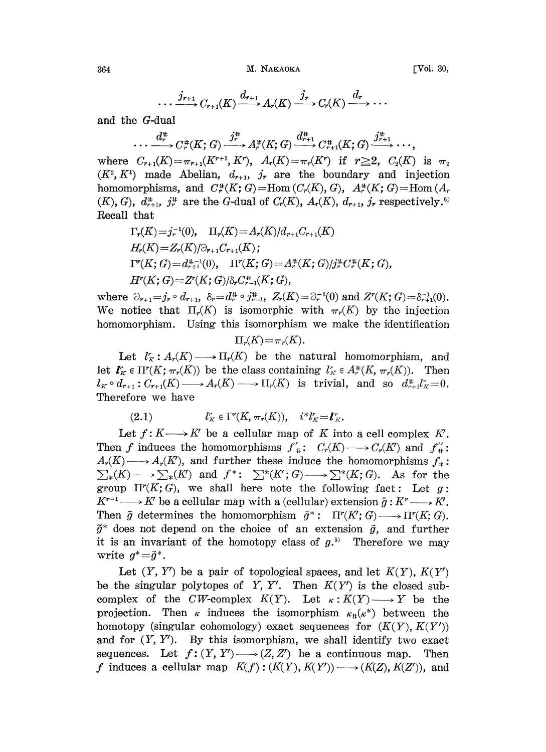$$
\cdots \xrightarrow{j_{r+1}} C_{r+1}(K) \xrightarrow{d_{r+1}} A_r(K) \xrightarrow{j_r} C_r(K) \xrightarrow{d_r} \cdots
$$

and the G-dual

 $d_r^{\#} \longrightarrow C_r^{\#}(K; G) \xrightarrow{j_r^{\#}} A_r^{\#}(K; G) \xrightarrow{d_{r+1}^{\#}} C_{r+1}^{\#}(K; G) \xrightarrow{j_{r+1}^{\#}} \cdots$ 

where  $C_{r+1}(K) = \pi_{r+1}(K^{r+1}, K^r)$ ,  $A_r(K) = \pi_r(K^r)$  if  $r \geq 2$ ,  $C_2(K)$  is  $\pi_2$  $(K^2, K^1)$  made Abelian,  $d_{r+1}$ ,  $j_r$  are the boundary and injection homomorphisms, and  $C^{\#}_{r}(K; G) = \text{Hom}(C_{r}(K), G)$ ,  $A^{\#}_{r}(K; G) = \text{Hom}(A_{r})$  $(K), G$ ,  $d_{r+1}^*$ ,  $j_r^*$  are the G-dual of  $C_r(K)$ ,  $A_r(K)$ ,  $d_{r+1}$ ,  $j_r$  respectively.<sup>6)</sup> Recall that

$$
\Gamma_r(K) = j_r^{-1}(0), \quad \Pi_r(K) = A_r(K)/d_{r+1}C_{r+1}(K)
$$
\n
$$
H_r(K) = Z_r(K)/\partial_{r+1}C_{r+1}(K);
$$
\n
$$
\Gamma^r(K; G) = d_{r+1}^{n-1}(0), \quad \Pi^r(K; G) = A_r^{n}(K; G)/j_r^{n}(K; G),
$$
\n
$$
H^r(K; G) = Z^r(K; G)/\delta_r C_{r-1}^{n}(K; G),
$$

where  $\partial_{r+1} = j_r \circ d_{r+1}$ ,  $\delta_r = d_r^* \circ j_{r-1}^*$ ,  $Z_r(K) = \partial_r^{-1}(0)$  and  $Z^r(K; G) = \delta_{r+1}^{-1}(0)$ . We notice that  $\Pi_r(K)$  is isomorphic with  $\pi_r(K)$  by the injection homomorphism. Using this isomorphism we make the identification

$$
\Pi_r(K) = \pi_r(K).
$$

Let  $l''_K: A_r(K) \longrightarrow \Pi_r(K)$  be the natural homomorphism, and let  $\mathbf{I}_K^r \in \Pi^r(K; \pi_r(K))$  be the class containing  $l_K^r \in A_r^*(K, \pi_r(K))$ . Then  $l_K \circ d_{r+1}: C_{r+1}(K) \longrightarrow A_r(K) \longrightarrow \Pi_r(K)$  is trivial, and so  $d_{r+1}^* l_K^* = 0$ . Therefore we have

(2.1)  $l_K^r \in \Gamma^r(K, \pi_r(K)), \quad i^*l_K^r = l_K^r.$ 

Let  $f: K \longrightarrow K'$  be a cellular map of K into a cell complex  $K'.$ Then f induces the homomorphisms  $f'_{\#}: C_r(K) \longrightarrow C_r(K')$  and  $f''_{\#}:$  $A_r(K) \longrightarrow A_r(K')$ , and further these induce the homomorphisms  $f_*$ :  $\sum_{*}(K) \longrightarrow \sum_{*}(K')$  and  $f^*: \sum^{*}(K; G) \longrightarrow \sum^{*}(K; G)$ . As for the group  $\Pi^{r}(K; G)$ , we shall here note the following fact: Let g:  $K^{r-1} \longrightarrow K'$  be a cellular map with a (cellular) extension  $\tilde{g}: K^r \longrightarrow K'.$ <br>Then  $\tilde{g}$  determines the homomorphism  $\tilde{g}^*: \Pi^r(K; G) \longrightarrow \Pi^r(K; G).$ Then  $\tilde{g}$  determines the homomorphism  $\tilde{g}^*$ :  $\Pi^{r}(K; G) \longrightarrow \Pi^{r}(K; G)$ .  $\tilde{g}^*$  does not depend on the choice of an extension  $\tilde{g}$ , and further<br>it is an invariant of the homotony class of  $g^{5}$ . Therefore we may it is an invariant of the homotopy class of  $g<sup>5</sup>$ . Therefore we may write  $g^* = \tilde{g}^*$ .

Let  $(Y, Y')$  be a pair of topological spaces, and let  $K(Y)$ ,  $K(Y')$ be the singular polytopes of Y, Y'. Then  $K(Y')$  is the closed subcomplex of the CW-complex  $K(Y)$ . Let  $\kappa: K(Y) \longrightarrow Y$  be the projection. Then  $\kappa$  induces the isomorphism  $\kappa_{\mu}(\kappa^*)$  between the homotopy (singular cohomology) exact sequences for  $(K(Y), K(Y'))$ and for  $(Y, Y')$ . By this isomorphism, we shall identify two exact sequences. Let  $f: (Y, Y') \longrightarrow (Z, Z')$  be a continuous map. Then f induces a cellular map  $K(f): (K(Y), K(Y')) \longrightarrow (K(Z), K(Z'))$ , and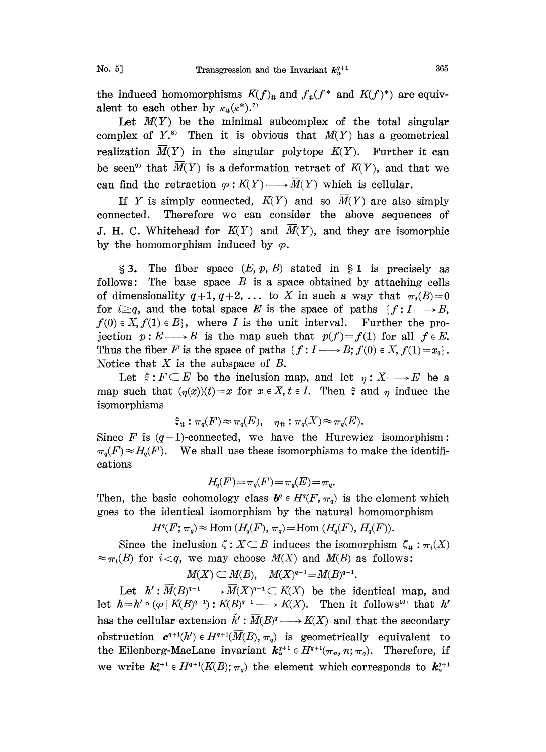the induced homomorphisms  $K(f)_*$  and  $f_*(f^*$  and  $K(f)^*)$  are equivalent to each other by  $\kappa_{\mu}(\kappa^*)$ .<sup>7)</sup>

Let  $M(Y)$  be the minimal subcomplex of the total singular complex of  $Y^s$ . Then it is obvious that  $M(Y)$  has a geometrical realization  $\overline{M}(Y)$  in the singular polytope  $K(Y)$ . Further it can be seen<sup>9)</sup> that  $\overline{M}(Y)$  is a deformation retract of  $K(Y)$ , and that we can find the retraction  $\varphi: K(Y) \longrightarrow \overline{M}(Y)$  which is cellular.

If Y is simply connected,  $K(Y)$  and so  $\overline{M}(Y)$  are also simply connected. Therefore we can consider the above sequences of J. H. C. Whitehead for  $K(Y)$  and  $M(Y)$ , and they are isomorphic by the homomorphism induced by  $\varphi$ .

 $\S 3$ . The fiber space  $(E, p, B)$  stated in  $\S 1$  is precisely as follows: The base space  $B$  is a space obtained by attaching cells of dimensionality  $q+1$ ,  $q+2$ , ... to X in such a way that  $\pi_i(B)=0$ for  $i \geq q$ , and the total space E is the space of paths  $\{f: I \longrightarrow B,$  $f(0) \in X, f(1) \in B$ , where I is the unit interval. Further the projection  $p: E \longrightarrow B$  is the map such that  $p(f)=f(1)$  for all  $f \in E$ . Thus the fiber F is the space of paths  $\{f: I \longrightarrow B; f(0) \in X, f(1)=x_0\}.$ Notice that  $X$  is the subspace of  $B$ .

Let  $\xi: F \subset E$  be the inclusion map, and let  $\eta: X \longrightarrow E$  be a map such that  $(\eta(x))(t) = x$  for  $x \in X$ ,  $t \in I$ . Then  $\xi$  and  $\eta$  induce the isomorphisms

$$
\xi_{\#} : \pi_q(F) \approx \pi_q(E), \quad \eta_{\#} : \pi_q(X) \approx \pi_q(E).
$$

Since F is  $(q-1)$ -connected, we have the Hurewicz isomorphism:  $\pi_q(F) \approx H_q(F)$ . We shall use these isomorphisms to make the identifications

$$
H_q(F)\!=\!\pi_q(F)\!=\!\pi_q(E)\!=\!\pi_q.
$$

Then, the basic cohomology class  $b^q \in H^q(F, \pi_q)$  is the element which goes to the identical isomorphism by the natural homomorphism

$$
H^{q}(F; \pi_q) \approx \text{Hom} (H_q(F), \pi_q) = \text{Hom} (H_q(F), H_q(F)).
$$

Since the inclusion  $\zeta : X \subseteq B$  induces the isomorphism  $\zeta_*$ <br> $\approx \pi_i(B)$  for  $i < q$ , we may choose  $M(X)$  and  $M(B)$  as follows: Since the inclusion  $\zeta: X \subseteq B$  induces the isomorphism  $\zeta_* : \pi_*(X)$ 

$$
M(X) \subset M(B)
$$
,  $M(X)^{q-1} = M(B)^{q-1}$ .

 $\begin{array}{c} \rm{Let} \;\; h': \overline{M}(B)^{q-1}\longrightarrow \overline{M}(X) \ h=h'\circ (\varphi \mid K(B)^{q-1}): K(B)^{q-1} \end{array}$ Let  $h': M(B)^{q-1} \longrightarrow M(X)^{q-1} \subset K(X)$  be the identical map, and<br>let  $h=h' \circ (\varphi \mid K(B)^{q-1}) : K(B)^{q-1} \longrightarrow K(X)$ . Then it follows<sup>10)</sup> that h' has the cellular extension  $\tilde{h}' : \overline{M}(B)^q \longrightarrow K(X)$  and that the secondary obstruction  $e^{q+1}(h') \in H^{q+1}(\overline{M}(B), \pi_q)$  is geometrically equivalent to the Eilenberg-MacLane invariant  $k_n^{q+1} \in H^{q+1}(\pi_n, n; \pi_q)$ . Therefore, if we write  $\mathbf{k}_n^{q+1} \in H^{q+1}(K(B); \pi_q)$  the element which corresponds to  $\mathbf{k}_n^{q+1}$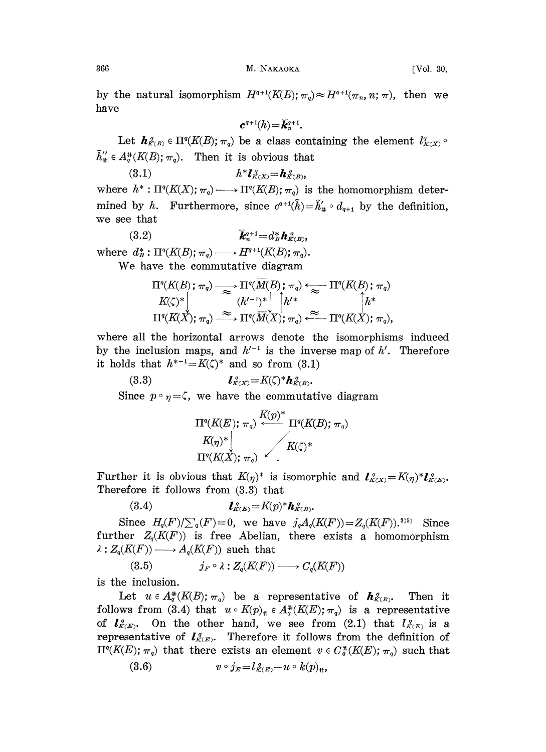by the natural isomorphism  $H^{q+1}(K(E); \pi_q) \approx H^{q+1}(\pi_n, n; \pi)$ , then we have

$$
\bm{c}^{q+1}(h) = \bar{\bm{k}}_n^{q+1}.
$$

Let  $\mathbf{h}_{K(R)}^q \in \Pi^q(K(\mathcal{B}); \pi_q)$  be a class containing the element  $l'_{K(X)}$  $\tilde{h}''_* \in A^*_\sigma(K(B); \pi_q)$ . Then it is obvious that

(3.1)  $h^* l_{K(X)}^q = h_{K(B)}^q$ where  $h^*: \Pi^q(K(X); \pi_q) \longrightarrow \Pi^q(K(B); \pi_q)$  is the homomorphism determined by h. Furthermore, since  $c^{q+1}(\tilde{h})=\tilde{h}'_{*}\circ d_{q+1}$  by the definition, we see that

(3.2)  $\overline{k}_n^{q+1}$  $\overline{k}_{n}^{q+1}$  =  $d_{B}^{*}$   $h_{K(B)}^{q}$ ,

We have the commutative diagram

where 
$$
d_n^*: \Pi^q(K(B); \pi_q) \longrightarrow H^{q+1}(K(B); \pi_q)
$$
.  
\nWe have the commutative diagram  
\n
$$
\Pi^q(K(B); \pi_q) \longrightarrow \Pi^q(\overline{M}(B); \pi_q) \longleftarrow \Pi^q(K(B); \pi_q)
$$
\n
$$
K(\zeta)^* \begin{bmatrix} | & h'^* & | & h^* \\ & \Pi^q(K(X); \pi_q) & \longrightarrow & \Pi^q(\overline{M}(X); \pi_q) & \longrightarrow & \Pi^q(K(X); \pi_q), \end{bmatrix}
$$

where all the horizontal arrows denote the isomorphisms induced by the inclusion maps, and  $h'^{-1}$  is the inverse map of  $h'$ . Therefore it holds that  $h^{*-1} = K(\zeta)^*$  and so from (3.1) it holds that  $h^{*-1} = K(\zeta)^*$  and so from (3.1)

(3.3)  $\boldsymbol{l}_{K(X)}^q = K(\zeta)^* \boldsymbol{h}_{K(B)}^q$ Since  $p \circ \eta = \zeta$ , we have the commutative diagram

$$
\frac{\Pi^{q}(K(E);\ \pi_q)}{K(\eta)^{*}}\ \frac{K(p)^{*}}{\prod^{q}(K(B);\ \pi_q)}\\ \Pi^{q}(K(X);\ \pi_q)\ \sqrt{\qquad\qquad K(\zeta)^{*}}\\
$$

Further it is obvious that  $K(\eta)^*$  is isomorphic and  $\mathbf{1}_{K(X)}^q = K(\eta)^* \mathbf{1}_{K(X)}^q$ Therefore it follows from (3.3) that

$$
(3.4) \qquad \qquad \boldsymbol{l}_{K(E)}^{\;q} = K(p)^* \boldsymbol{h}_{K(E)}^{\;q}.
$$

Since  $H_q(F)/\sum_q(F) = 0$ , we have  $j_qA_q(K(F)) = Z_q(K(F))$ . Since further  $Z_q(K(F))$  is free Abelian, there exists a homomorphism  $\lambda: Z_q(K(F)) \longrightarrow A_q(K(F))$  such that

(3.5) 
$$
j_F \circ \lambda : Z_q(K(F)) \longrightarrow C_q(K(F))
$$

is the inclusion.

Let  $u \in A_q^{\#}(K(B); \pi_q)$  be a representative of  $h_{K(B)}^q$ . Then it follows from (3.4) that  $u \circ K(p)_{\text{H}} \in A^{\#}_{q}(K(E);\pi_{q})$  is a representative of  $l_{\mathcal{K}(\mathcal{E})}^q$ . On the other hand, we see from (2.1) that  $l_{\mathcal{K}(\mathcal{E})}^q$  is a representative of  $l_{K(E)}^q$ . Therefore it follows from the definition of  $\Pi^{q}(K(E);\pi_{q})$  that there exists an element  $v \in C_{q}^{*}(K(E);\pi_{q})$  such that

$$
(3.6) \t v \circ j_E = l_{K(E)}^q - u \circ k(p)_{\#},
$$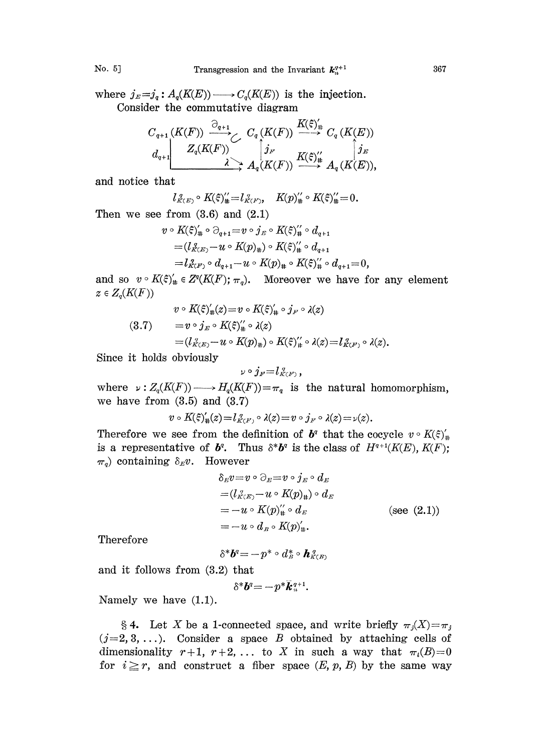where  $j_E=j_q: A_q(K(E)) \longrightarrow C_q(K(E))$  is the injection. Consider the commutative diagram

$$
\begin{array}{ccc}C_{q+1}(K(F))&\stackrel{\widehat{\bigcirc}_{q+1}}{\longrightarrow} &C_{q}\left(K(F)\right)\xrightarrow{K(\xi)_{\sharp}}&C_{q}\left(K(E)\right)\\ d_{q+1}&Z_{q}(K(F))&\stackrel{\stackrel{\cdot}{\bigcirc}_{jF}}{\longrightarrow}&A_{q}(K(F))\xrightarrow{K(\xi)_{\sharp}^{\prime\prime}}&A_{q}\left(K(E)\right),\\ \end{array}
$$

and notice

$$
l_{K(E)}^{\alpha} \circ K(\xi)_{\#}^{\prime} = l_{K(F)}^{\alpha}, \quad K(p)_{\#}^{\prime} \circ K(\xi)_{\#}^{\prime\prime} = 0.
$$

Then we see from (3.6) and (2.1)  
\n
$$
v \circ K(\xi)'_{\#} \circ \partial_{q+1} = v \circ j_E \circ K(\xi)''_{\#} \circ d_{q+1}
$$
\n
$$
= (l_{K(E)}^{\sigma} - u \circ K(p)_{\#}) \circ K(\xi)''_{\#} \circ d_{q+1}
$$
\n
$$
= l_{K(F)}^{\sigma} \circ d_{q+1} - u \circ K(p)_{\#} \circ K(\xi)''_{\#} \circ d_{q+1} = 0,
$$

and so  $v \circ K(\xi)'_{\#} \in Z^q(K(F); \pi_q)$ . Moreover we have for any element  $z \in Z_q(K(F))$ 

$$
v \circ K(\xi)'_{\#}(z) = v \circ K(\xi)'_{\#} \circ j_F \circ \lambda(z)
$$
  
(3.7) 
$$
= v \circ j_E \circ K(\xi)''_{\#} \circ \lambda(z)
$$

$$
= (l_{K(E)}^{\circ} - u \circ K(p)_{\#}) \circ K(\xi)''_{\#} \circ \lambda(z) = l_{K(F)}^{\circ} \circ \lambda(z).
$$

Since it holds obviously

$$
_{\nu}\circ j_{\scriptscriptstyle F}{=}l_{{\scriptscriptstyle K(F)}}^{\ {\scriptscriptstyle q}}\,,
$$

where  $\nu: Z_q(K(F)) \longrightarrow H_q(K(F))=\pi_q$  is the natural homomorphism, we have from  $(3.5)$  and  $(3.7)$ 

$$
v\circ K(\varepsilon)_\#^\prime(z)\!=\!l_{K(F)}^{\,\,\sigma}\circ\lambda(z)\!=\!v\circ j_{F}\circ\lambda(z)\!=\!\nu(z).
$$

Therefore we see from the definition of  $b^q$  that the cocycle  $v \circ K(\xi)_{\#}'$ is a representative of  $b^q$ . Thus  $\delta^*b^q$  is the class of  $H^{q+1}(K(E), K(F));$  $\pi_q$ ) containing  $\delta_E v$ . However

$$
\delta_E v = v \circ \partial_E = v \circ j_E \circ d_E
$$
  
=  $(l_{K(E)}^{\ \gamma} - u \circ K(p)_{\#}) \circ d_E$   
=  $-u \circ K(p)_{\#}^{\ \gamma} \circ d_E$  (see (2.1))  
=  $-u \circ d_B \circ K(p)_{\#}^{\gamma}.$ 

Therefore

 $\delta^*{\boldsymbol{b}}^{\mathit{q}}$   $\! =$   $\!-p^*\circ d^*_{\scriptscriptstyle{B}}\!\circ {\boldsymbol{h}}^{\scriptscriptstyle{(q)}}_{{\scriptscriptstyle{K}}\cap{\boldsymbol{c}}}$  $\begin{split} \mathcal{A}^a = & -p^* \circ d_B^* \circ \bm{h}_{K(B)}^{\:q} \ \mathcal{B}^{\mathrm{ad}} = & -p^* \circ d_B^* \circ \bm{h}_{K(B)}^{\:q} \end{split}$ 

and it follows from (3.2) that

$$
\delta^* \boldsymbol{b}^q = -p^* \bar{\boldsymbol{k}}_n^{q+1}.
$$

Namely we have (1.1).

§ 4. Let X be a 1-connected space, and write briefly  $\pi_i(X) = \pi_i$  $(j=2,3,\ldots)$ . Consider a space B obtained by attaching cells of dimensionality  $r+1$ ,  $r+2$ , ... to X in such a way that  $\pi_i(B)=0$ for  $i \geq r$ , and construct a fiber space  $(E, p, B)$  by the same way